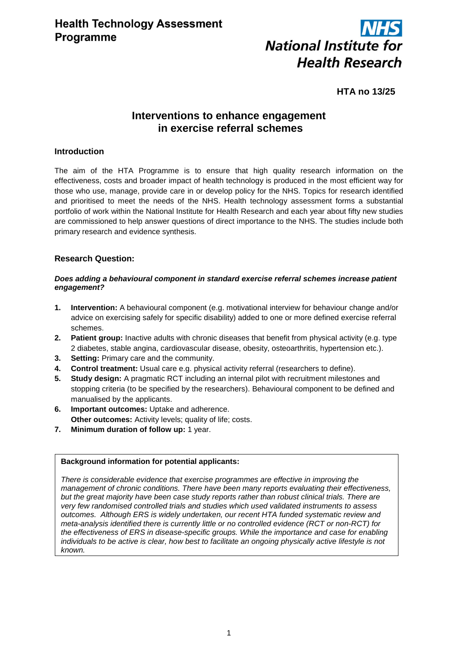

# **HTA no 13/25**

# **Interventions to enhance engagement in exercise referral schemes**

## **Introduction**

The aim of the HTA Programme is to ensure that high quality research information on the effectiveness, costs and broader impact of health technology is produced in the most efficient way for those who use, manage, provide care in or develop policy for the NHS. Topics for research identified and prioritised to meet the needs of the NHS. Health technology assessment forms a substantial portfolio of work within the National Institute for Health Research and each year about fifty new studies are commissioned to help answer questions of direct importance to the NHS. The studies include both primary research and evidence synthesis.

## **Research Question:**

#### *Does adding a behavioural component in standard exercise referral schemes increase patient engagement?*

- **1. Intervention:** A behavioural component (e.g. motivational interview for behaviour change and/or advice on exercising safely for specific disability) added to one or more defined exercise referral schemes.
- **2. Patient group:** Inactive adults with chronic diseases that benefit from physical activity (e.g. type 2 diabetes, stable angina, cardiovascular disease, obesity, osteoarthritis, hypertension etc.).
- **3. Setting:** Primary care and the community.
- **4. Control treatment:** Usual care e.g. physical activity referral (researchers to define).
- **5. Study design:** A pragmatic RCT including an internal pilot with recruitment milestones and stopping criteria (to be specified by the researchers). Behavioural component to be defined and manualised by the applicants.
- **6. Important outcomes:** Uptake and adherence. **Other outcomes:** Activity levels; quality of life; costs.
- **7. Minimum duration of follow up:** 1 year.

#### **Background information for potential applicants:**

*There is considerable evidence that exercise programmes are effective in improving the management of chronic conditions. There have been many reports evaluating their effectiveness, but the great majority have been case study reports rather than robust clinical trials. There are very few randomised controlled trials and studies which used validated instruments to assess outcomes. Although ERS is widely undertaken, our recent HTA funded systematic review and meta-analysis identified there is currently little or no controlled evidence (RCT or non-RCT) for the effectiveness of ERS in disease-specific groups. While the importance and case for enabling individuals to be active is clear, how best to facilitate an ongoing physically active lifestyle is not known.*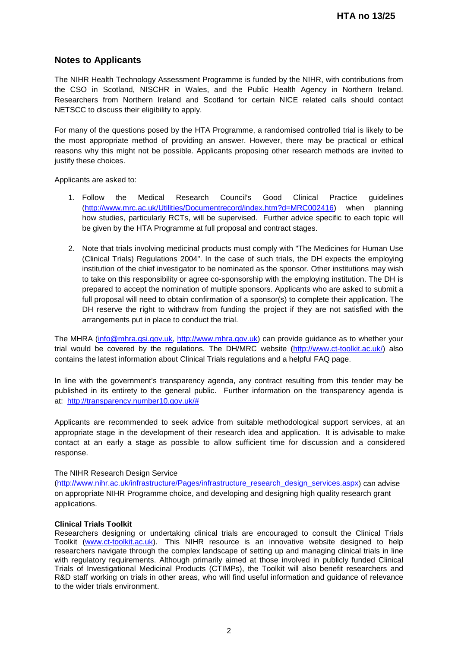# **Notes to Applicants**

The NIHR Health Technology Assessment Programme is funded by the NIHR, with contributions from the CSO in Scotland, NISCHR in Wales, and the Public Health Agency in Northern Ireland. Researchers from Northern Ireland and Scotland for certain NICE related calls should contact NETSCC to discuss their eligibility to apply.

For many of the questions posed by the HTA Programme, a randomised controlled trial is likely to be the most appropriate method of providing an answer. However, there may be practical or ethical reasons why this might not be possible. Applicants proposing other research methods are invited to justify these choices.

Applicants are asked to:

- 1. Follow the Medical Research Council's Good Clinical Practice guidelines [\(http://www.mrc.ac.uk/Utilities/Documentrecord/index.htm?d=MRC002416\)](http://www.mrc.ac.uk/Utilities/Documentrecord/index.htm?d=MRC002416) when planning how studies, particularly RCTs, will be supervised. Further advice specific to each topic will be given by the HTA Programme at full proposal and contract stages.
- 2. Note that trials involving medicinal products must comply with "The Medicines for Human Use (Clinical Trials) Regulations 2004". In the case of such trials, the DH expects the employing institution of the chief investigator to be nominated as the sponsor. Other institutions may wish to take on this responsibility or agree co-sponsorship with the employing institution. The DH is prepared to accept the nomination of multiple sponsors. Applicants who are asked to submit a full proposal will need to obtain confirmation of a sponsor(s) to complete their application. The DH reserve the right to withdraw from funding the project if they are not satisfied with the arrangements put in place to conduct the trial.

The MHRA [\(info@mhra.gsi.gov.uk,](mailto:info@mhra.gsi.gov.uk) [http://www.mhra.gov.uk\)](http://www.mhra.gov.uk/) can provide guidance as to whether your trial would be covered by the regulations. The DH/MRC website [\(http://www.ct-toolkit.ac.uk/\)](http://www.ct-toolkit.ac.uk/) also contains the latest information about Clinical Trials regulations and a helpful FAQ page.

In line with the government's transparency agenda, any contract resulting from this tender may be published in its entirety to the general public. Further information on the transparency agenda is at: [http://transparency.number10.gov.uk/#](http://transparency.number10.gov.uk/)

Applicants are recommended to seek advice from suitable methodological support services, at an appropriate stage in the development of their research idea and application. It is advisable to make contact at an early a stage as possible to allow sufficient time for discussion and a considered response.

#### The NIHR Research Design Service

[\(http://www.nihr.ac.uk/infrastructure/Pages/infrastructure\\_research\\_design\\_services.aspx\)](http://www.nihr.ac.uk/infrastructure/Pages/infrastructure_research_design_services.aspx) can advise on appropriate NIHR Programme choice, and developing and designing high quality research grant applications.

#### **Clinical Trials Toolkit**

Researchers designing or undertaking clinical trials are encouraged to consult the Clinical Trials Toolkit [\(www.ct-toolkit.ac.uk\)](http://www.ct-toolkit.ac.uk/home). This NIHR resource is an innovative website designed to help researchers navigate through the complex landscape of setting up and managing clinical trials in line with regulatory requirements. Although primarily aimed at those involved in publicly funded Clinical Trials of Investigational Medicinal Products (CTIMPs), the Toolkit will also benefit researchers and R&D staff working on trials in other areas, who will find useful information and guidance of relevance to the wider trials environment.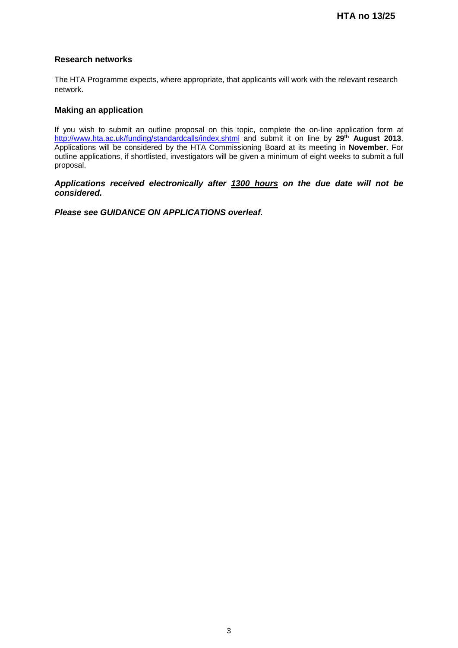## **Research networks**

The HTA Programme expects, where appropriate, that applicants will work with the relevant research network.

## **Making an application**

If you wish to submit an outline proposal on this topic, complete the on-line application form at http://www.hta.ac.uk/funding/standardcalls/index.shtml and submit it on line by **29th August 2013**. Applications will be considered by the HTA Commissioning Board at its meeting in **November**. For outline applications, if shortlisted, investigators will be given a minimum of eight weeks to submit a full proposal.

#### *Applications received electronically after 1300 hours on the due date will not be considered.*

*Please see GUIDANCE ON APPLICATIONS overleaf.*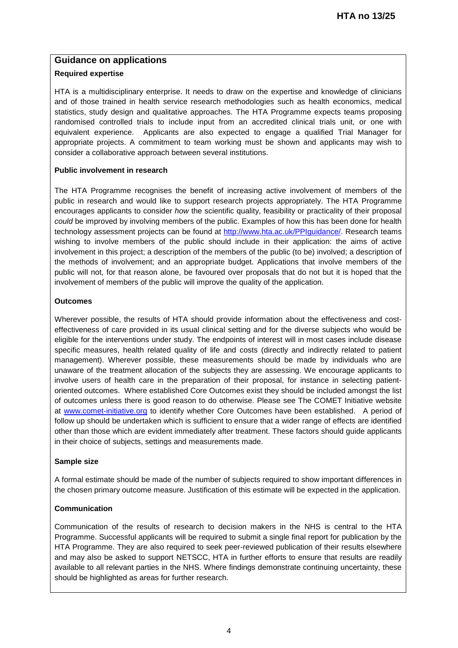## **Guidance on applications**

### **Required expertise**

HTA is a multidisciplinary enterprise. It needs to draw on the expertise and knowledge of clinicians and of those trained in health service research methodologies such as health economics, medical statistics, study design and qualitative approaches. The HTA Programme expects teams proposing randomised controlled trials to include input from an accredited clinical trials unit, or one with equivalent experience. Applicants are also expected to engage a qualified Trial Manager for appropriate projects. A commitment to team working must be shown and applicants may wish to consider a collaborative approach between several institutions.

#### **Public involvement in research**

The HTA Programme recognises the benefit of increasing active involvement of members of the public in research and would like to support research projects appropriately. The HTA Programme encourages applicants to consider *how* the scientific quality, feasibility or practicality of their proposal *could* be improved by involving members of the public. Examples of how this has been done for health technology assessment projects can be found at [http://www.hta.ac.uk/PPIguidance/.](http://www.hta.ac.uk/PPIguidance/) Research teams wishing to involve members of the public should include in their application: the aims of active involvement in this project; a description of the members of the public (to be) involved; a description of the methods of involvement; and an appropriate budget. Applications that involve members of the public will not, for that reason alone, be favoured over proposals that do not but it is hoped that the involvement of members of the public will improve the quality of the application.

#### **Outcomes**

Wherever possible, the results of HTA should provide information about the effectiveness and costeffectiveness of care provided in its usual clinical setting and for the diverse subjects who would be eligible for the interventions under study. The endpoints of interest will in most cases include disease specific measures, health related quality of life and costs (directly and indirectly related to patient management). Wherever possible, these measurements should be made by individuals who are unaware of the treatment allocation of the subjects they are assessing. We encourage applicants to involve users of health care in the preparation of their proposal, for instance in selecting patientoriented outcomes. Where established Core Outcomes exist they should be included amongst the list of outcomes unless there is good reason to do otherwise. Please see The COMET Initiative website at [www.comet-initiative.org](http://www.comet-initiative.org/) to identify whether Core Outcomes have been established. A period of follow up should be undertaken which is sufficient to ensure that a wider range of effects are identified other than those which are evident immediately after treatment. These factors should guide applicants in their choice of subjects, settings and measurements made.

#### **Sample size**

A formal estimate should be made of the number of subjects required to show important differences in the chosen primary outcome measure. Justification of this estimate will be expected in the application.

## **Communication**

Communication of the results of research to decision makers in the NHS is central to the HTA Programme. Successful applicants will be required to submit a single final report for publication by the HTA Programme. They are also required to seek peer-reviewed publication of their results elsewhere and may also be asked to support NETSCC, HTA in further efforts to ensure that results are readily available to all relevant parties in the NHS. Where findings demonstrate continuing uncertainty, these should be highlighted as areas for further research.